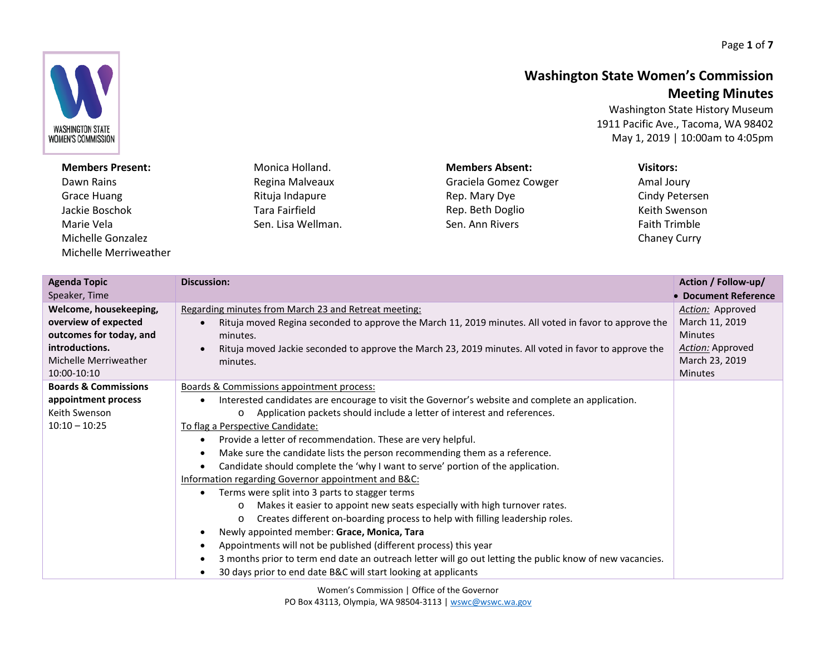Page **1** of **7**

## **Washington State Women's Commission Meeting Minutes**

Washington State History Museum 1911 Pacific Ave., Tacoma, WA 98402 May 1, 2019 | 10:00am to 4:05pm

**Members Present:** Monica Holland. Regina Malveaux Rituja Indapure Tara Fairfield Sen. Lisa Wellman. **Members Absent:** Graciela Gomez Cowger Rep. Mary Dye Rep. Beth Doglio Sen. Ann Rivers **Visitors:** Amal Joury Faith Trimble

| <b>Agenda Topic</b><br>Speaker, Time                                                                                                | <b>Discussion:</b>                                                                                                                                                                                                                                                                                                                                                                                                                                                                                                                                                                                                                                                                                                                                                                                                                                                                                                                                                                                                                                                                                              | Action / Follow-up/<br>• Document Reference                                                                         |
|-------------------------------------------------------------------------------------------------------------------------------------|-----------------------------------------------------------------------------------------------------------------------------------------------------------------------------------------------------------------------------------------------------------------------------------------------------------------------------------------------------------------------------------------------------------------------------------------------------------------------------------------------------------------------------------------------------------------------------------------------------------------------------------------------------------------------------------------------------------------------------------------------------------------------------------------------------------------------------------------------------------------------------------------------------------------------------------------------------------------------------------------------------------------------------------------------------------------------------------------------------------------|---------------------------------------------------------------------------------------------------------------------|
| Welcome, housekeeping,<br>overview of expected<br>outcomes for today, and<br>introductions.<br>Michelle Merriweather<br>10:00-10:10 | Regarding minutes from March 23 and Retreat meeting:<br>Rituja moved Regina seconded to approve the March 11, 2019 minutes. All voted in favor to approve the<br>minutes.<br>Rituja moved Jackie seconded to approve the March 23, 2019 minutes. All voted in favor to approve the<br>minutes.                                                                                                                                                                                                                                                                                                                                                                                                                                                                                                                                                                                                                                                                                                                                                                                                                  | Action: Approved<br>March 11, 2019<br><b>Minutes</b><br><b>Action:</b> Approved<br>March 23, 2019<br><b>Minutes</b> |
| <b>Boards &amp; Commissions</b><br>appointment process<br>Keith Swenson<br>$10:10 - 10:25$                                          | <b>Boards &amp; Commissions appointment process:</b><br>Interested candidates are encourage to visit the Governor's website and complete an application.<br>Application packets should include a letter of interest and references.<br>$\circ$<br>To flag a Perspective Candidate:<br>Provide a letter of recommendation. These are very helpful.<br>Make sure the candidate lists the person recommending them as a reference.<br>Candidate should complete the 'why I want to serve' portion of the application.<br>Information regarding Governor appointment and B&C:<br>Terms were split into 3 parts to stagger terms<br>Makes it easier to appoint new seats especially with high turnover rates.<br>$\circ$<br>Creates different on-boarding process to help with filling leadership roles.<br>$\circ$<br>Newly appointed member: Grace, Monica, Tara<br>Appointments will not be published (different process) this year<br>3 months prior to term end date an outreach letter will go out letting the public know of new vacancies.<br>30 days prior to end date B&C will start looking at applicants |                                                                                                                     |



## Dawn Rains Grace Huang Jackie Boschok Marie Vela Michelle Gonzalez Michelle Merriweather

Cindy Petersen Keith Swenson Chaney Curry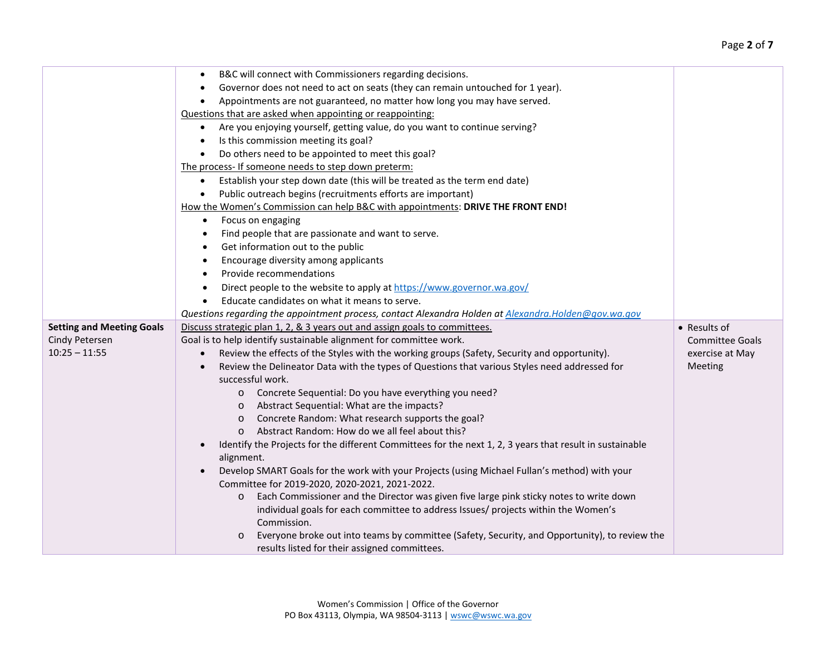|                                  | B&C will connect with Commissioners regarding decisions.                                                               |                        |
|----------------------------------|------------------------------------------------------------------------------------------------------------------------|------------------------|
|                                  | Governor does not need to act on seats (they can remain untouched for 1 year).                                         |                        |
|                                  | Appointments are not guaranteed, no matter how long you may have served.                                               |                        |
|                                  | Questions that are asked when appointing or reappointing:                                                              |                        |
|                                  | Are you enjoying yourself, getting value, do you want to continue serving?<br>$\bullet$                                |                        |
|                                  | Is this commission meeting its goal?                                                                                   |                        |
|                                  | Do others need to be appointed to meet this goal?                                                                      |                        |
|                                  | The process- If someone needs to step down preterm:                                                                    |                        |
|                                  |                                                                                                                        |                        |
|                                  | Establish your step down date (this will be treated as the term end date)<br>$\bullet$                                 |                        |
|                                  | Public outreach begins (recruitments efforts are important)<br>$\bullet$                                               |                        |
|                                  | How the Women's Commission can help B&C with appointments: DRIVE THE FRONT END!                                        |                        |
|                                  | Focus on engaging<br>$\bullet$                                                                                         |                        |
|                                  | Find people that are passionate and want to serve.<br>$\bullet$                                                        |                        |
|                                  | Get information out to the public<br>$\bullet$                                                                         |                        |
|                                  | Encourage diversity among applicants<br>$\bullet$                                                                      |                        |
|                                  | Provide recommendations<br>$\bullet$                                                                                   |                        |
|                                  | Direct people to the website to apply at https://www.governor.wa.gov/<br>$\bullet$                                     |                        |
|                                  | Educate candidates on what it means to serve.<br>$\bullet$                                                             |                        |
|                                  | Questions regarding the appointment process, contact Alexandra Holden at Alexandra. Holden@gov.wa.gov                  |                        |
| <b>Setting and Meeting Goals</b> | Discuss strategic plan 1, 2, & 3 years out and assign goals to committees.                                             | • Results of           |
| Cindy Petersen                   | Goal is to help identify sustainable alignment for committee work.                                                     | <b>Committee Goals</b> |
| $10:25 - 11:55$                  | Review the effects of the Styles with the working groups (Safety, Security and opportunity).<br>$\bullet$              | exercise at May        |
|                                  | Review the Delineator Data with the types of Questions that various Styles need addressed for                          | Meeting                |
|                                  | successful work.                                                                                                       |                        |
|                                  | o Concrete Sequential: Do you have everything you need?                                                                |                        |
|                                  | o Abstract Sequential: What are the impacts?                                                                           |                        |
|                                  | Concrete Random: What research supports the goal?<br>$\circ$                                                           |                        |
|                                  | Abstract Random: How do we all feel about this?<br>$\circ$                                                             |                        |
|                                  | Identify the Projects for the different Committees for the next 1, 2, 3 years that result in sustainable<br>alignment. |                        |
|                                  | Develop SMART Goals for the work with your Projects (using Michael Fullan's method) with your                          |                        |
|                                  | Committee for 2019-2020, 2020-2021, 2021-2022.                                                                         |                        |
|                                  | Each Commissioner and the Director was given five large pink sticky notes to write down<br>$\circ$                     |                        |
|                                  | individual goals for each committee to address Issues/ projects within the Women's                                     |                        |
|                                  | Commission.                                                                                                            |                        |
|                                  | Everyone broke out into teams by committee (Safety, Security, and Opportunity), to review the<br>$\circ$               |                        |
|                                  | results listed for their assigned committees.                                                                          |                        |
|                                  |                                                                                                                        |                        |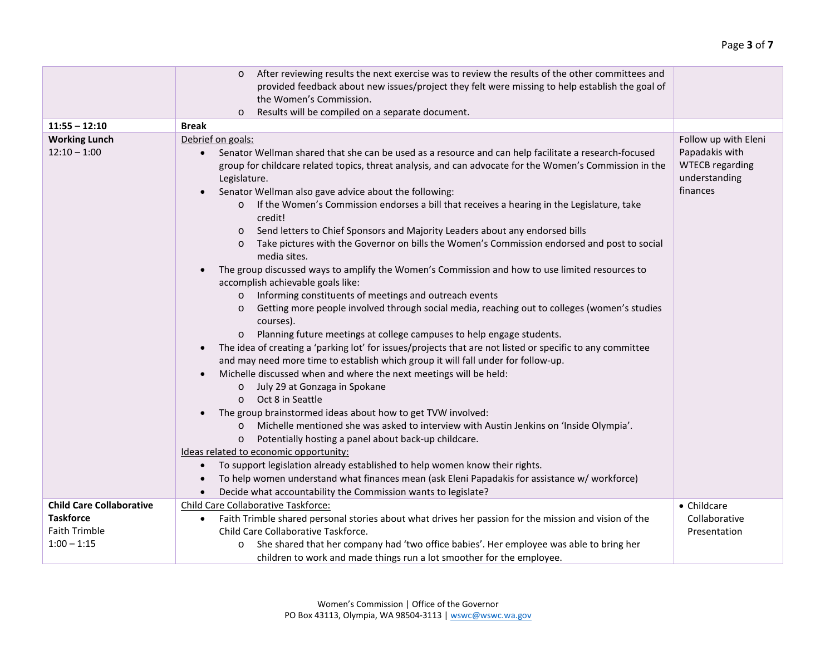|                                        | After reviewing results the next exercise was to review the results of the other committees and<br>$\circ$<br>provided feedback about new issues/project they felt were missing to help establish the goal of<br>the Women's Commission.<br>Results will be compiled on a separate document.<br>$\circ$                                                                                                                                                                                                                                                                                                                                                                                                                                                                                                                                                                                                                                                                                                                                                                                                                                                                                                                                                                                                                                                                                                                                                                                                                                                                                                                                                                                                                                                                                                                                                                       |                                                                       |
|----------------------------------------|-------------------------------------------------------------------------------------------------------------------------------------------------------------------------------------------------------------------------------------------------------------------------------------------------------------------------------------------------------------------------------------------------------------------------------------------------------------------------------------------------------------------------------------------------------------------------------------------------------------------------------------------------------------------------------------------------------------------------------------------------------------------------------------------------------------------------------------------------------------------------------------------------------------------------------------------------------------------------------------------------------------------------------------------------------------------------------------------------------------------------------------------------------------------------------------------------------------------------------------------------------------------------------------------------------------------------------------------------------------------------------------------------------------------------------------------------------------------------------------------------------------------------------------------------------------------------------------------------------------------------------------------------------------------------------------------------------------------------------------------------------------------------------------------------------------------------------------------------------------------------------|-----------------------------------------------------------------------|
| $11:55 - 12:10$                        | <b>Break</b>                                                                                                                                                                                                                                                                                                                                                                                                                                                                                                                                                                                                                                                                                                                                                                                                                                                                                                                                                                                                                                                                                                                                                                                                                                                                                                                                                                                                                                                                                                                                                                                                                                                                                                                                                                                                                                                                  |                                                                       |
|                                        |                                                                                                                                                                                                                                                                                                                                                                                                                                                                                                                                                                                                                                                                                                                                                                                                                                                                                                                                                                                                                                                                                                                                                                                                                                                                                                                                                                                                                                                                                                                                                                                                                                                                                                                                                                                                                                                                               | Follow up with Eleni                                                  |
| <b>Working Lunch</b><br>$12:10 - 1:00$ | Debrief on goals:<br>Senator Wellman shared that she can be used as a resource and can help facilitate a research-focused<br>group for childcare related topics, threat analysis, and can advocate for the Women's Commission in the<br>Legislature.<br>Senator Wellman also gave advice about the following:<br>If the Women's Commission endorses a bill that receives a hearing in the Legislature, take<br>credit!<br>Send letters to Chief Sponsors and Majority Leaders about any endorsed bills<br>$\circ$<br>Take pictures with the Governor on bills the Women's Commission endorsed and post to social<br>$\circ$<br>media sites.<br>The group discussed ways to amplify the Women's Commission and how to use limited resources to<br>accomplish achievable goals like:<br>Informing constituents of meetings and outreach events<br>$\circ$<br>Getting more people involved through social media, reaching out to colleges (women's studies<br>$\circ$<br>courses).<br>Planning future meetings at college campuses to help engage students.<br>$\circ$<br>The idea of creating a 'parking lot' for issues/projects that are not listed or specific to any committee<br>and may need more time to establish which group it will fall under for follow-up.<br>Michelle discussed when and where the next meetings will be held:<br>o July 29 at Gonzaga in Spokane<br>Oct 8 in Seattle<br>$\circ$<br>The group brainstormed ideas about how to get TVW involved:<br>Michelle mentioned she was asked to interview with Austin Jenkins on 'Inside Olympia'.<br>$\circ$<br>Potentially hosting a panel about back-up childcare.<br>$\circ$<br>Ideas related to economic opportunity:<br>To support legislation already established to help women know their rights.<br>To help women understand what finances mean (ask Eleni Papadakis for assistance w/ workforce) | Papadakis with<br><b>WTECB regarding</b><br>understanding<br>finances |
| <b>Child Care Collaborative</b>        | Decide what accountability the Commission wants to legislate?<br>Child Care Collaborative Taskforce:                                                                                                                                                                                                                                                                                                                                                                                                                                                                                                                                                                                                                                                                                                                                                                                                                                                                                                                                                                                                                                                                                                                                                                                                                                                                                                                                                                                                                                                                                                                                                                                                                                                                                                                                                                          | • Childcare                                                           |
| <b>Taskforce</b>                       | Faith Trimble shared personal stories about what drives her passion for the mission and vision of the<br>$\bullet$                                                                                                                                                                                                                                                                                                                                                                                                                                                                                                                                                                                                                                                                                                                                                                                                                                                                                                                                                                                                                                                                                                                                                                                                                                                                                                                                                                                                                                                                                                                                                                                                                                                                                                                                                            | Collaborative                                                         |
| Faith Trimble                          | Child Care Collaborative Taskforce.                                                                                                                                                                                                                                                                                                                                                                                                                                                                                                                                                                                                                                                                                                                                                                                                                                                                                                                                                                                                                                                                                                                                                                                                                                                                                                                                                                                                                                                                                                                                                                                                                                                                                                                                                                                                                                           | Presentation                                                          |
| $1:00 - 1:15$                          | She shared that her company had 'two office babies'. Her employee was able to bring her<br>$\circ$                                                                                                                                                                                                                                                                                                                                                                                                                                                                                                                                                                                                                                                                                                                                                                                                                                                                                                                                                                                                                                                                                                                                                                                                                                                                                                                                                                                                                                                                                                                                                                                                                                                                                                                                                                            |                                                                       |
|                                        | children to work and made things run a lot smoother for the employee.                                                                                                                                                                                                                                                                                                                                                                                                                                                                                                                                                                                                                                                                                                                                                                                                                                                                                                                                                                                                                                                                                                                                                                                                                                                                                                                                                                                                                                                                                                                                                                                                                                                                                                                                                                                                         |                                                                       |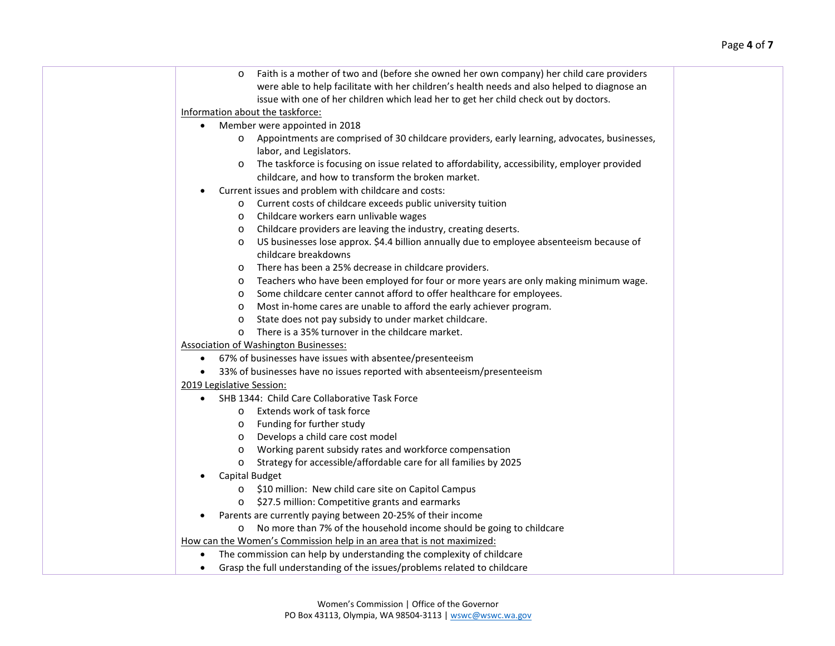| Faith is a mother of two and (before she owned her own company) her child care providers<br>$\circ$<br>were able to help facilitate with her children's health needs and also helped to diagnose an<br>issue with one of her children which lead her to get her child check out by doctors.<br>Information about the taskforce:<br>Member were appointed in 2018<br>$\bullet$<br>o Appointments are comprised of 30 childcare providers, early learning, advocates, businesses,<br>labor, and Legislators.<br>The taskforce is focusing on issue related to affordability, accessibility, employer provided<br>$\circ$<br>childcare, and how to transform the broken market.<br>Current issues and problem with childcare and costs:<br>$\bullet$<br>Current costs of childcare exceeds public university tuition<br>$\circ$<br>Childcare workers earn unlivable wages<br>$\circ$<br>Childcare providers are leaving the industry, creating deserts.<br>$\circ$<br>US businesses lose approx. \$4.4 billion annually due to employee absenteeism because of<br>$\circ$<br>childcare breakdowns<br>There has been a 25% decrease in childcare providers.<br>$\circ$<br>Teachers who have been employed for four or more years are only making minimum wage.<br>$\circ$<br>Some childcare center cannot afford to offer healthcare for employees.<br>$\circ$<br>Most in-home cares are unable to afford the early achiever program.<br>$\circ$<br>State does not pay subsidy to under market childcare.<br>$\circ$<br>There is a 35% turnover in the childcare market.<br>$\circ$<br><b>Association of Washington Businesses:</b><br>67% of businesses have issues with absentee/presenteeism<br>33% of businesses have no issues reported with absenteeism/presenteeism<br>$\bullet$<br>2019 Legislative Session:<br>SHB 1344: Child Care Collaborative Task Force<br>o Extends work of task force<br>o Funding for further study<br>o Develops a child care cost model<br>Working parent subsidy rates and workforce compensation<br>$\circ$<br>Strategy for accessible/affordable care for all families by 2025<br>$\circ$<br>Capital Budget<br>$\bullet$<br>\$10 million: New child care site on Capitol Campus<br>$\circ$<br>\$27.5 million: Competitive grants and earmarks<br>Parents are currently paying between 20-25% of their income<br>$\bullet$<br>No more than 7% of the household income should be going to childcare<br>$\circ$<br>How can the Women's Commission help in an area that is not maximized:<br>The commission can help by understanding the complexity of childcare<br>$\bullet$<br>Grasp the full understanding of the issues/problems related to childcare<br>$\bullet$ |  |  |
|-------------------------------------------------------------------------------------------------------------------------------------------------------------------------------------------------------------------------------------------------------------------------------------------------------------------------------------------------------------------------------------------------------------------------------------------------------------------------------------------------------------------------------------------------------------------------------------------------------------------------------------------------------------------------------------------------------------------------------------------------------------------------------------------------------------------------------------------------------------------------------------------------------------------------------------------------------------------------------------------------------------------------------------------------------------------------------------------------------------------------------------------------------------------------------------------------------------------------------------------------------------------------------------------------------------------------------------------------------------------------------------------------------------------------------------------------------------------------------------------------------------------------------------------------------------------------------------------------------------------------------------------------------------------------------------------------------------------------------------------------------------------------------------------------------------------------------------------------------------------------------------------------------------------------------------------------------------------------------------------------------------------------------------------------------------------------------------------------------------------------------------------------------------------------------------------------------------------------------------------------------------------------------------------------------------------------------------------------------------------------------------------------------------------------------------------------------------------------------------------------------------------------------------------------------------------------------------------------------------------------------------------------------------------------------------------------------|--|--|
|                                                                                                                                                                                                                                                                                                                                                                                                                                                                                                                                                                                                                                                                                                                                                                                                                                                                                                                                                                                                                                                                                                                                                                                                                                                                                                                                                                                                                                                                                                                                                                                                                                                                                                                                                                                                                                                                                                                                                                                                                                                                                                                                                                                                                                                                                                                                                                                                                                                                                                                                                                                                                                                                                                       |  |  |
|                                                                                                                                                                                                                                                                                                                                                                                                                                                                                                                                                                                                                                                                                                                                                                                                                                                                                                                                                                                                                                                                                                                                                                                                                                                                                                                                                                                                                                                                                                                                                                                                                                                                                                                                                                                                                                                                                                                                                                                                                                                                                                                                                                                                                                                                                                                                                                                                                                                                                                                                                                                                                                                                                                       |  |  |
|                                                                                                                                                                                                                                                                                                                                                                                                                                                                                                                                                                                                                                                                                                                                                                                                                                                                                                                                                                                                                                                                                                                                                                                                                                                                                                                                                                                                                                                                                                                                                                                                                                                                                                                                                                                                                                                                                                                                                                                                                                                                                                                                                                                                                                                                                                                                                                                                                                                                                                                                                                                                                                                                                                       |  |  |
|                                                                                                                                                                                                                                                                                                                                                                                                                                                                                                                                                                                                                                                                                                                                                                                                                                                                                                                                                                                                                                                                                                                                                                                                                                                                                                                                                                                                                                                                                                                                                                                                                                                                                                                                                                                                                                                                                                                                                                                                                                                                                                                                                                                                                                                                                                                                                                                                                                                                                                                                                                                                                                                                                                       |  |  |
|                                                                                                                                                                                                                                                                                                                                                                                                                                                                                                                                                                                                                                                                                                                                                                                                                                                                                                                                                                                                                                                                                                                                                                                                                                                                                                                                                                                                                                                                                                                                                                                                                                                                                                                                                                                                                                                                                                                                                                                                                                                                                                                                                                                                                                                                                                                                                                                                                                                                                                                                                                                                                                                                                                       |  |  |
|                                                                                                                                                                                                                                                                                                                                                                                                                                                                                                                                                                                                                                                                                                                                                                                                                                                                                                                                                                                                                                                                                                                                                                                                                                                                                                                                                                                                                                                                                                                                                                                                                                                                                                                                                                                                                                                                                                                                                                                                                                                                                                                                                                                                                                                                                                                                                                                                                                                                                                                                                                                                                                                                                                       |  |  |
|                                                                                                                                                                                                                                                                                                                                                                                                                                                                                                                                                                                                                                                                                                                                                                                                                                                                                                                                                                                                                                                                                                                                                                                                                                                                                                                                                                                                                                                                                                                                                                                                                                                                                                                                                                                                                                                                                                                                                                                                                                                                                                                                                                                                                                                                                                                                                                                                                                                                                                                                                                                                                                                                                                       |  |  |
|                                                                                                                                                                                                                                                                                                                                                                                                                                                                                                                                                                                                                                                                                                                                                                                                                                                                                                                                                                                                                                                                                                                                                                                                                                                                                                                                                                                                                                                                                                                                                                                                                                                                                                                                                                                                                                                                                                                                                                                                                                                                                                                                                                                                                                                                                                                                                                                                                                                                                                                                                                                                                                                                                                       |  |  |
|                                                                                                                                                                                                                                                                                                                                                                                                                                                                                                                                                                                                                                                                                                                                                                                                                                                                                                                                                                                                                                                                                                                                                                                                                                                                                                                                                                                                                                                                                                                                                                                                                                                                                                                                                                                                                                                                                                                                                                                                                                                                                                                                                                                                                                                                                                                                                                                                                                                                                                                                                                                                                                                                                                       |  |  |
|                                                                                                                                                                                                                                                                                                                                                                                                                                                                                                                                                                                                                                                                                                                                                                                                                                                                                                                                                                                                                                                                                                                                                                                                                                                                                                                                                                                                                                                                                                                                                                                                                                                                                                                                                                                                                                                                                                                                                                                                                                                                                                                                                                                                                                                                                                                                                                                                                                                                                                                                                                                                                                                                                                       |  |  |
|                                                                                                                                                                                                                                                                                                                                                                                                                                                                                                                                                                                                                                                                                                                                                                                                                                                                                                                                                                                                                                                                                                                                                                                                                                                                                                                                                                                                                                                                                                                                                                                                                                                                                                                                                                                                                                                                                                                                                                                                                                                                                                                                                                                                                                                                                                                                                                                                                                                                                                                                                                                                                                                                                                       |  |  |
|                                                                                                                                                                                                                                                                                                                                                                                                                                                                                                                                                                                                                                                                                                                                                                                                                                                                                                                                                                                                                                                                                                                                                                                                                                                                                                                                                                                                                                                                                                                                                                                                                                                                                                                                                                                                                                                                                                                                                                                                                                                                                                                                                                                                                                                                                                                                                                                                                                                                                                                                                                                                                                                                                                       |  |  |
|                                                                                                                                                                                                                                                                                                                                                                                                                                                                                                                                                                                                                                                                                                                                                                                                                                                                                                                                                                                                                                                                                                                                                                                                                                                                                                                                                                                                                                                                                                                                                                                                                                                                                                                                                                                                                                                                                                                                                                                                                                                                                                                                                                                                                                                                                                                                                                                                                                                                                                                                                                                                                                                                                                       |  |  |
|                                                                                                                                                                                                                                                                                                                                                                                                                                                                                                                                                                                                                                                                                                                                                                                                                                                                                                                                                                                                                                                                                                                                                                                                                                                                                                                                                                                                                                                                                                                                                                                                                                                                                                                                                                                                                                                                                                                                                                                                                                                                                                                                                                                                                                                                                                                                                                                                                                                                                                                                                                                                                                                                                                       |  |  |
|                                                                                                                                                                                                                                                                                                                                                                                                                                                                                                                                                                                                                                                                                                                                                                                                                                                                                                                                                                                                                                                                                                                                                                                                                                                                                                                                                                                                                                                                                                                                                                                                                                                                                                                                                                                                                                                                                                                                                                                                                                                                                                                                                                                                                                                                                                                                                                                                                                                                                                                                                                                                                                                                                                       |  |  |
|                                                                                                                                                                                                                                                                                                                                                                                                                                                                                                                                                                                                                                                                                                                                                                                                                                                                                                                                                                                                                                                                                                                                                                                                                                                                                                                                                                                                                                                                                                                                                                                                                                                                                                                                                                                                                                                                                                                                                                                                                                                                                                                                                                                                                                                                                                                                                                                                                                                                                                                                                                                                                                                                                                       |  |  |
|                                                                                                                                                                                                                                                                                                                                                                                                                                                                                                                                                                                                                                                                                                                                                                                                                                                                                                                                                                                                                                                                                                                                                                                                                                                                                                                                                                                                                                                                                                                                                                                                                                                                                                                                                                                                                                                                                                                                                                                                                                                                                                                                                                                                                                                                                                                                                                                                                                                                                                                                                                                                                                                                                                       |  |  |
|                                                                                                                                                                                                                                                                                                                                                                                                                                                                                                                                                                                                                                                                                                                                                                                                                                                                                                                                                                                                                                                                                                                                                                                                                                                                                                                                                                                                                                                                                                                                                                                                                                                                                                                                                                                                                                                                                                                                                                                                                                                                                                                                                                                                                                                                                                                                                                                                                                                                                                                                                                                                                                                                                                       |  |  |
|                                                                                                                                                                                                                                                                                                                                                                                                                                                                                                                                                                                                                                                                                                                                                                                                                                                                                                                                                                                                                                                                                                                                                                                                                                                                                                                                                                                                                                                                                                                                                                                                                                                                                                                                                                                                                                                                                                                                                                                                                                                                                                                                                                                                                                                                                                                                                                                                                                                                                                                                                                                                                                                                                                       |  |  |
|                                                                                                                                                                                                                                                                                                                                                                                                                                                                                                                                                                                                                                                                                                                                                                                                                                                                                                                                                                                                                                                                                                                                                                                                                                                                                                                                                                                                                                                                                                                                                                                                                                                                                                                                                                                                                                                                                                                                                                                                                                                                                                                                                                                                                                                                                                                                                                                                                                                                                                                                                                                                                                                                                                       |  |  |
|                                                                                                                                                                                                                                                                                                                                                                                                                                                                                                                                                                                                                                                                                                                                                                                                                                                                                                                                                                                                                                                                                                                                                                                                                                                                                                                                                                                                                                                                                                                                                                                                                                                                                                                                                                                                                                                                                                                                                                                                                                                                                                                                                                                                                                                                                                                                                                                                                                                                                                                                                                                                                                                                                                       |  |  |
|                                                                                                                                                                                                                                                                                                                                                                                                                                                                                                                                                                                                                                                                                                                                                                                                                                                                                                                                                                                                                                                                                                                                                                                                                                                                                                                                                                                                                                                                                                                                                                                                                                                                                                                                                                                                                                                                                                                                                                                                                                                                                                                                                                                                                                                                                                                                                                                                                                                                                                                                                                                                                                                                                                       |  |  |
|                                                                                                                                                                                                                                                                                                                                                                                                                                                                                                                                                                                                                                                                                                                                                                                                                                                                                                                                                                                                                                                                                                                                                                                                                                                                                                                                                                                                                                                                                                                                                                                                                                                                                                                                                                                                                                                                                                                                                                                                                                                                                                                                                                                                                                                                                                                                                                                                                                                                                                                                                                                                                                                                                                       |  |  |
|                                                                                                                                                                                                                                                                                                                                                                                                                                                                                                                                                                                                                                                                                                                                                                                                                                                                                                                                                                                                                                                                                                                                                                                                                                                                                                                                                                                                                                                                                                                                                                                                                                                                                                                                                                                                                                                                                                                                                                                                                                                                                                                                                                                                                                                                                                                                                                                                                                                                                                                                                                                                                                                                                                       |  |  |
|                                                                                                                                                                                                                                                                                                                                                                                                                                                                                                                                                                                                                                                                                                                                                                                                                                                                                                                                                                                                                                                                                                                                                                                                                                                                                                                                                                                                                                                                                                                                                                                                                                                                                                                                                                                                                                                                                                                                                                                                                                                                                                                                                                                                                                                                                                                                                                                                                                                                                                                                                                                                                                                                                                       |  |  |
|                                                                                                                                                                                                                                                                                                                                                                                                                                                                                                                                                                                                                                                                                                                                                                                                                                                                                                                                                                                                                                                                                                                                                                                                                                                                                                                                                                                                                                                                                                                                                                                                                                                                                                                                                                                                                                                                                                                                                                                                                                                                                                                                                                                                                                                                                                                                                                                                                                                                                                                                                                                                                                                                                                       |  |  |
|                                                                                                                                                                                                                                                                                                                                                                                                                                                                                                                                                                                                                                                                                                                                                                                                                                                                                                                                                                                                                                                                                                                                                                                                                                                                                                                                                                                                                                                                                                                                                                                                                                                                                                                                                                                                                                                                                                                                                                                                                                                                                                                                                                                                                                                                                                                                                                                                                                                                                                                                                                                                                                                                                                       |  |  |
|                                                                                                                                                                                                                                                                                                                                                                                                                                                                                                                                                                                                                                                                                                                                                                                                                                                                                                                                                                                                                                                                                                                                                                                                                                                                                                                                                                                                                                                                                                                                                                                                                                                                                                                                                                                                                                                                                                                                                                                                                                                                                                                                                                                                                                                                                                                                                                                                                                                                                                                                                                                                                                                                                                       |  |  |
|                                                                                                                                                                                                                                                                                                                                                                                                                                                                                                                                                                                                                                                                                                                                                                                                                                                                                                                                                                                                                                                                                                                                                                                                                                                                                                                                                                                                                                                                                                                                                                                                                                                                                                                                                                                                                                                                                                                                                                                                                                                                                                                                                                                                                                                                                                                                                                                                                                                                                                                                                                                                                                                                                                       |  |  |
|                                                                                                                                                                                                                                                                                                                                                                                                                                                                                                                                                                                                                                                                                                                                                                                                                                                                                                                                                                                                                                                                                                                                                                                                                                                                                                                                                                                                                                                                                                                                                                                                                                                                                                                                                                                                                                                                                                                                                                                                                                                                                                                                                                                                                                                                                                                                                                                                                                                                                                                                                                                                                                                                                                       |  |  |
|                                                                                                                                                                                                                                                                                                                                                                                                                                                                                                                                                                                                                                                                                                                                                                                                                                                                                                                                                                                                                                                                                                                                                                                                                                                                                                                                                                                                                                                                                                                                                                                                                                                                                                                                                                                                                                                                                                                                                                                                                                                                                                                                                                                                                                                                                                                                                                                                                                                                                                                                                                                                                                                                                                       |  |  |
|                                                                                                                                                                                                                                                                                                                                                                                                                                                                                                                                                                                                                                                                                                                                                                                                                                                                                                                                                                                                                                                                                                                                                                                                                                                                                                                                                                                                                                                                                                                                                                                                                                                                                                                                                                                                                                                                                                                                                                                                                                                                                                                                                                                                                                                                                                                                                                                                                                                                                                                                                                                                                                                                                                       |  |  |
|                                                                                                                                                                                                                                                                                                                                                                                                                                                                                                                                                                                                                                                                                                                                                                                                                                                                                                                                                                                                                                                                                                                                                                                                                                                                                                                                                                                                                                                                                                                                                                                                                                                                                                                                                                                                                                                                                                                                                                                                                                                                                                                                                                                                                                                                                                                                                                                                                                                                                                                                                                                                                                                                                                       |  |  |
|                                                                                                                                                                                                                                                                                                                                                                                                                                                                                                                                                                                                                                                                                                                                                                                                                                                                                                                                                                                                                                                                                                                                                                                                                                                                                                                                                                                                                                                                                                                                                                                                                                                                                                                                                                                                                                                                                                                                                                                                                                                                                                                                                                                                                                                                                                                                                                                                                                                                                                                                                                                                                                                                                                       |  |  |
|                                                                                                                                                                                                                                                                                                                                                                                                                                                                                                                                                                                                                                                                                                                                                                                                                                                                                                                                                                                                                                                                                                                                                                                                                                                                                                                                                                                                                                                                                                                                                                                                                                                                                                                                                                                                                                                                                                                                                                                                                                                                                                                                                                                                                                                                                                                                                                                                                                                                                                                                                                                                                                                                                                       |  |  |
|                                                                                                                                                                                                                                                                                                                                                                                                                                                                                                                                                                                                                                                                                                                                                                                                                                                                                                                                                                                                                                                                                                                                                                                                                                                                                                                                                                                                                                                                                                                                                                                                                                                                                                                                                                                                                                                                                                                                                                                                                                                                                                                                                                                                                                                                                                                                                                                                                                                                                                                                                                                                                                                                                                       |  |  |
|                                                                                                                                                                                                                                                                                                                                                                                                                                                                                                                                                                                                                                                                                                                                                                                                                                                                                                                                                                                                                                                                                                                                                                                                                                                                                                                                                                                                                                                                                                                                                                                                                                                                                                                                                                                                                                                                                                                                                                                                                                                                                                                                                                                                                                                                                                                                                                                                                                                                                                                                                                                                                                                                                                       |  |  |
|                                                                                                                                                                                                                                                                                                                                                                                                                                                                                                                                                                                                                                                                                                                                                                                                                                                                                                                                                                                                                                                                                                                                                                                                                                                                                                                                                                                                                                                                                                                                                                                                                                                                                                                                                                                                                                                                                                                                                                                                                                                                                                                                                                                                                                                                                                                                                                                                                                                                                                                                                                                                                                                                                                       |  |  |
|                                                                                                                                                                                                                                                                                                                                                                                                                                                                                                                                                                                                                                                                                                                                                                                                                                                                                                                                                                                                                                                                                                                                                                                                                                                                                                                                                                                                                                                                                                                                                                                                                                                                                                                                                                                                                                                                                                                                                                                                                                                                                                                                                                                                                                                                                                                                                                                                                                                                                                                                                                                                                                                                                                       |  |  |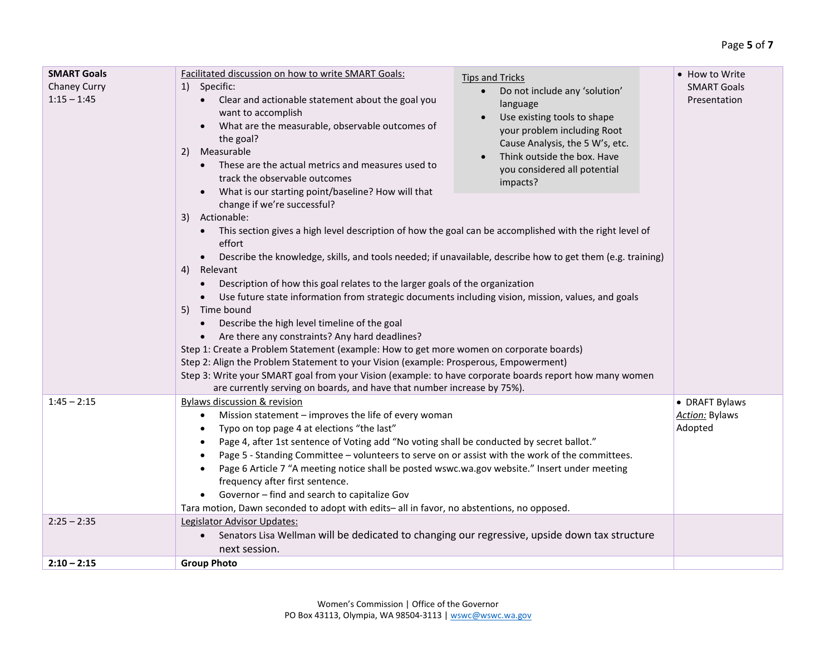| <b>SMART Goals</b><br>Chaney Curry<br>$1:15 - 1:45$ | Facilitated discussion on how to write SMART Goals:<br><b>Tips and Tricks</b><br>1) Specific:<br>Do not include any 'solution'<br>$\bullet$<br>Clear and actionable statement about the goal you<br>language<br>want to accomplish<br>Use existing tools to shape<br>What are the measurable, observable outcomes of<br>your problem including Root<br>the goal?<br>Cause Analysis, the 5 W's, etc.<br>Measurable<br>2)<br>Think outside the box. Have<br>$\bullet$<br>These are the actual metrics and measures used to<br>you considered all potential<br>track the observable outcomes<br>impacts?<br>What is our starting point/baseline? How will that<br>change if we're successful?<br>3) Actionable:<br>This section gives a high level description of how the goal can be accomplished with the right level of<br>effort<br>Describe the knowledge, skills, and tools needed; if unavailable, describe how to get them (e.g. training)<br>$\bullet$<br>4) Relevant<br>Description of how this goal relates to the larger goals of the organization<br>Use future state information from strategic documents including vision, mission, values, and goals<br>5) Time bound<br>Describe the high level timeline of the goal<br>Are there any constraints? Any hard deadlines?<br>Step 1: Create a Problem Statement (example: How to get more women on corporate boards)<br>Step 2: Align the Problem Statement to your Vision (example: Prosperous, Empowerment)<br>Step 3: Write your SMART goal from your Vision (example: to have corporate boards report how many women<br>are currently serving on boards, and have that number increase by 75%). | • How to Write<br><b>SMART Goals</b><br>Presentation |
|-----------------------------------------------------|----------------------------------------------------------------------------------------------------------------------------------------------------------------------------------------------------------------------------------------------------------------------------------------------------------------------------------------------------------------------------------------------------------------------------------------------------------------------------------------------------------------------------------------------------------------------------------------------------------------------------------------------------------------------------------------------------------------------------------------------------------------------------------------------------------------------------------------------------------------------------------------------------------------------------------------------------------------------------------------------------------------------------------------------------------------------------------------------------------------------------------------------------------------------------------------------------------------------------------------------------------------------------------------------------------------------------------------------------------------------------------------------------------------------------------------------------------------------------------------------------------------------------------------------------------------------------------------------------------------------------------------------------------------|------------------------------------------------------|
| $1:45 - 2:15$                                       | <b>Bylaws discussion &amp; revision</b><br>Mission statement - improves the life of every woman<br>$\bullet$<br>Typo on top page 4 at elections "the last"<br>Page 4, after 1st sentence of Voting add "No voting shall be conducted by secret ballot."<br>Page 5 - Standing Committee - volunteers to serve on or assist with the work of the committees.<br>Page 6 Article 7 "A meeting notice shall be posted wswc.wa.gov website." Insert under meeting<br>frequency after first sentence.<br>Governor - find and search to capitalize Gov<br>Tara motion, Dawn seconded to adopt with edits- all in favor, no abstentions, no opposed.                                                                                                                                                                                                                                                                                                                                                                                                                                                                                                                                                                                                                                                                                                                                                                                                                                                                                                                                                                                                                    | • DRAFT Bylaws<br><b>Action: Bylaws</b><br>Adopted   |
| $2:25 - 2:35$                                       | Legislator Advisor Updates:<br>Senators Lisa Wellman will be dedicated to changing our regressive, upside down tax structure<br>$\bullet$<br>next session.                                                                                                                                                                                                                                                                                                                                                                                                                                                                                                                                                                                                                                                                                                                                                                                                                                                                                                                                                                                                                                                                                                                                                                                                                                                                                                                                                                                                                                                                                                     |                                                      |
| $2:10 - 2:15$                                       | <b>Group Photo</b>                                                                                                                                                                                                                                                                                                                                                                                                                                                                                                                                                                                                                                                                                                                                                                                                                                                                                                                                                                                                                                                                                                                                                                                                                                                                                                                                                                                                                                                                                                                                                                                                                                             |                                                      |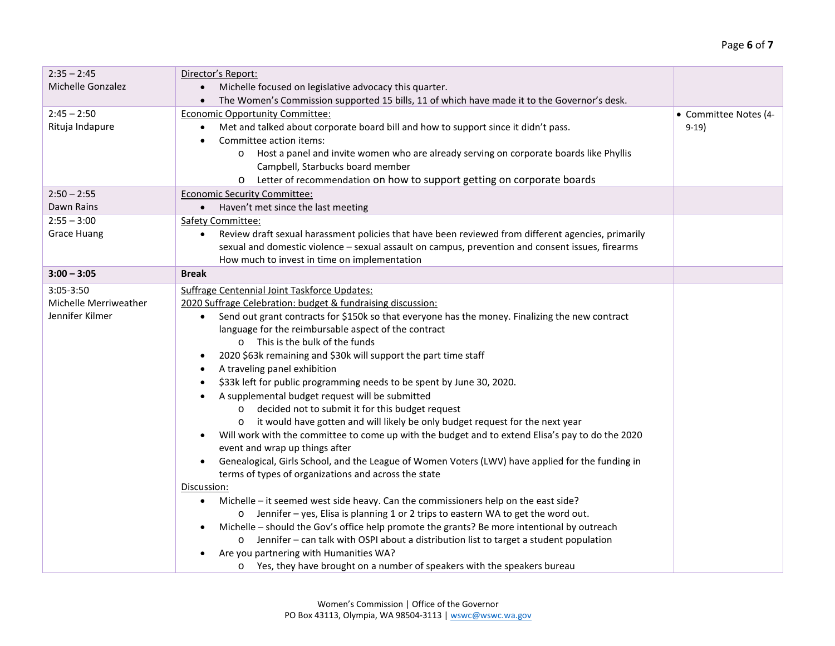| $2:35 - 2:45$         | Director's Report:                                                                                              |                       |
|-----------------------|-----------------------------------------------------------------------------------------------------------------|-----------------------|
| Michelle Gonzalez     | Michelle focused on legislative advocacy this quarter.                                                          |                       |
|                       | The Women's Commission supported 15 bills, 11 of which have made it to the Governor's desk.                     |                       |
| $2:45 - 2:50$         | <b>Economic Opportunity Committee:</b>                                                                          | • Committee Notes (4- |
| Rituja Indapure       | Met and talked about corporate board bill and how to support since it didn't pass.                              | $9-19)$               |
|                       | Committee action items:                                                                                         |                       |
|                       | Host a panel and invite women who are already serving on corporate boards like Phyllis<br>$\circ$               |                       |
|                       | Campbell, Starbucks board member                                                                                |                       |
|                       | Letter of recommendation on how to support getting on corporate boards<br>$\circ$                               |                       |
| $2:50 - 2:55$         | <b>Economic Security Committee:</b>                                                                             |                       |
| Dawn Rains            | • Haven't met since the last meeting                                                                            |                       |
| $2:55 - 3:00$         | Safety Committee:                                                                                               |                       |
| <b>Grace Huang</b>    | Review draft sexual harassment policies that have been reviewed from different agencies, primarily<br>$\bullet$ |                       |
|                       | sexual and domestic violence - sexual assault on campus, prevention and consent issues, firearms                |                       |
|                       | How much to invest in time on implementation                                                                    |                       |
| $3:00 - 3:05$         | <b>Break</b>                                                                                                    |                       |
| $3:05 - 3:50$         | <b>Suffrage Centennial Joint Taskforce Updates:</b>                                                             |                       |
| Michelle Merriweather | 2020 Suffrage Celebration: budget & fundraising discussion:                                                     |                       |
| Jennifer Kilmer       | Send out grant contracts for \$150k so that everyone has the money. Finalizing the new contract                 |                       |
|                       | language for the reimbursable aspect of the contract                                                            |                       |
|                       | o This is the bulk of the funds                                                                                 |                       |
|                       | 2020 \$63k remaining and \$30k will support the part time staff                                                 |                       |
|                       | A traveling panel exhibition                                                                                    |                       |
|                       | \$33k left for public programming needs to be spent by June 30, 2020.                                           |                       |
|                       | A supplemental budget request will be submitted                                                                 |                       |
|                       | decided not to submit it for this budget request<br>$\circ$                                                     |                       |
|                       | it would have gotten and will likely be only budget request for the next year<br>$\circ$                        |                       |
|                       | Will work with the committee to come up with the budget and to extend Elisa's pay to do the 2020                |                       |
|                       | event and wrap up things after                                                                                  |                       |
|                       | Genealogical, Girls School, and the League of Women Voters (LWV) have applied for the funding in<br>$\bullet$   |                       |
|                       | terms of types of organizations and across the state                                                            |                       |
|                       | Discussion:                                                                                                     |                       |
|                       | Michelle – it seemed west side heavy. Can the commissioners help on the east side?<br>$\bullet$                 |                       |
|                       | o Jennifer - yes, Elisa is planning 1 or 2 trips to eastern WA to get the word out.                             |                       |
|                       | Michelle - should the Gov's office help promote the grants? Be more intentional by outreach                     |                       |
|                       | Jennifer - can talk with OSPI about a distribution list to target a student population<br>$\circ$               |                       |
|                       | Are you partnering with Humanities WA?                                                                          |                       |
|                       | o Yes, they have brought on a number of speakers with the speakers bureau                                       |                       |